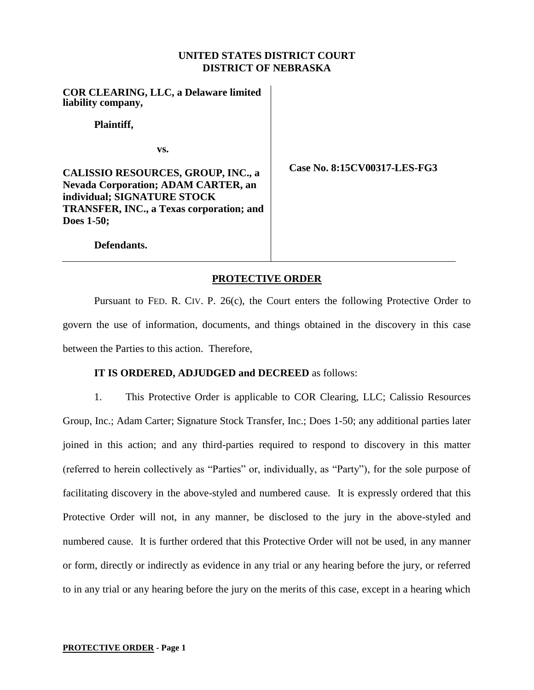# **UNITED STATES DISTRICT COURT DISTRICT OF NEBRASKA**

**COR CLEARING, LLC, a Delaware limited liability company,**

**Plaintiff,**

**vs.**

**CALISSIO RESOURCES, GROUP, INC., a Nevada Corporation; ADAM CARTER, an individual; SIGNATURE STOCK TRANSFER, INC., a Texas corporation; and Does 1-50;**

**Case No. 8:15CV00317-LES-FG3**

**Defendants.**

# **PROTECTIVE ORDER**

Pursuant to FED. R. CIV. P. 26(c), the Court enters the following Protective Order to govern the use of information, documents, and things obtained in the discovery in this case between the Parties to this action. Therefore,

## **IT IS ORDERED, ADJUDGED and DECREED** as follows:

1. This Protective Order is applicable to COR Clearing, LLC; Calissio Resources Group, Inc.; Adam Carter; Signature Stock Transfer, Inc.; Does 1-50; any additional parties later joined in this action; and any third-parties required to respond to discovery in this matter (referred to herein collectively as "Parties" or, individually, as "Party"), for the sole purpose of facilitating discovery in the above-styled and numbered cause. It is expressly ordered that this Protective Order will not, in any manner, be disclosed to the jury in the above-styled and numbered cause. It is further ordered that this Protective Order will not be used, in any manner or form, directly or indirectly as evidence in any trial or any hearing before the jury, or referred to in any trial or any hearing before the jury on the merits of this case, except in a hearing which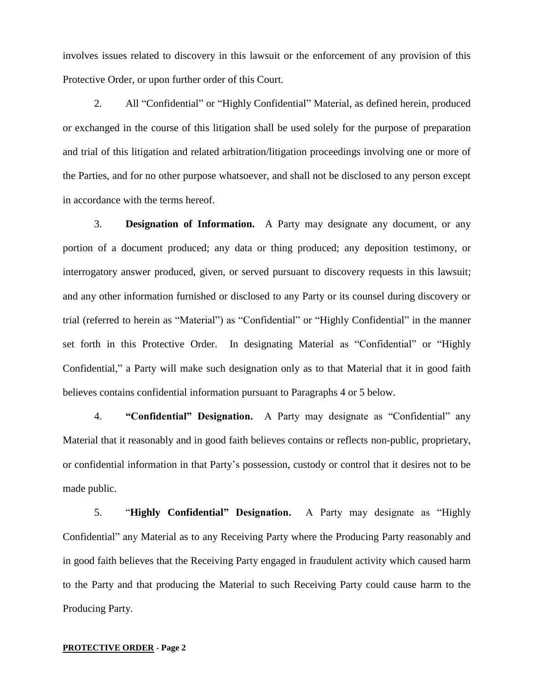involves issues related to discovery in this lawsuit or the enforcement of any provision of this Protective Order, or upon further order of this Court.

2. All "Confidential" or "Highly Confidential" Material, as defined herein, produced or exchanged in the course of this litigation shall be used solely for the purpose of preparation and trial of this litigation and related arbitration/litigation proceedings involving one or more of the Parties, and for no other purpose whatsoever, and shall not be disclosed to any person except in accordance with the terms hereof.

3. **Designation of Information.** A Party may designate any document, or any portion of a document produced; any data or thing produced; any deposition testimony, or interrogatory answer produced, given, or served pursuant to discovery requests in this lawsuit; and any other information furnished or disclosed to any Party or its counsel during discovery or trial (referred to herein as "Material") as "Confidential" or "Highly Confidential" in the manner set forth in this Protective Order. In designating Material as "Confidential" or "Highly Confidential," a Party will make such designation only as to that Material that it in good faith believes contains confidential information pursuant to Paragraphs 4 or 5 below.

4. **"Confidential" Designation.** A Party may designate as "Confidential" any Material that it reasonably and in good faith believes contains or reflects non-public, proprietary, or confidential information in that Party's possession, custody or control that it desires not to be made public.

5. "**Highly Confidential" Designation.** A Party may designate as "Highly Confidential" any Material as to any Receiving Party where the Producing Party reasonably and in good faith believes that the Receiving Party engaged in fraudulent activity which caused harm to the Party and that producing the Material to such Receiving Party could cause harm to the Producing Party.

#### **PROTECTIVE ORDER - Page 2**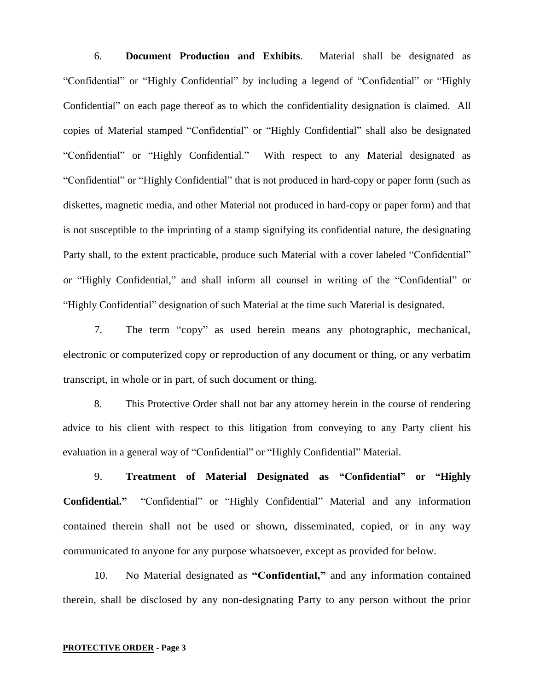6. **Document Production and Exhibits**. Material shall be designated as "Confidential" or "Highly Confidential" by including a legend of "Confidential" or "Highly Confidential" on each page thereof as to which the confidentiality designation is claimed. All copies of Material stamped "Confidential" or "Highly Confidential" shall also be designated "Confidential" or "Highly Confidential." With respect to any Material designated as "Confidential" or "Highly Confidential" that is not produced in hard-copy or paper form (such as diskettes, magnetic media, and other Material not produced in hard-copy or paper form) and that is not susceptible to the imprinting of a stamp signifying its confidential nature, the designating Party shall, to the extent practicable, produce such Material with a cover labeled "Confidential" or "Highly Confidential," and shall inform all counsel in writing of the "Confidential" or "Highly Confidential" designation of such Material at the time such Material is designated.

7. The term "copy" as used herein means any photographic, mechanical, electronic or computerized copy or reproduction of any document or thing, or any verbatim transcript, in whole or in part, of such document or thing.

8. This Protective Order shall not bar any attorney herein in the course of rendering advice to his client with respect to this litigation from conveying to any Party client his evaluation in a general way of "Confidential" or "Highly Confidential" Material.

9. **Treatment of Material Designated as "Confidential" or "Highly Confidential."** "Confidential" or "Highly Confidential" Material and any information contained therein shall not be used or shown, disseminated, copied, or in any way communicated to anyone for any purpose whatsoever, except as provided for below.

10. No Material designated as **"Confidential,"** and any information contained therein, shall be disclosed by any non-designating Party to any person without the prior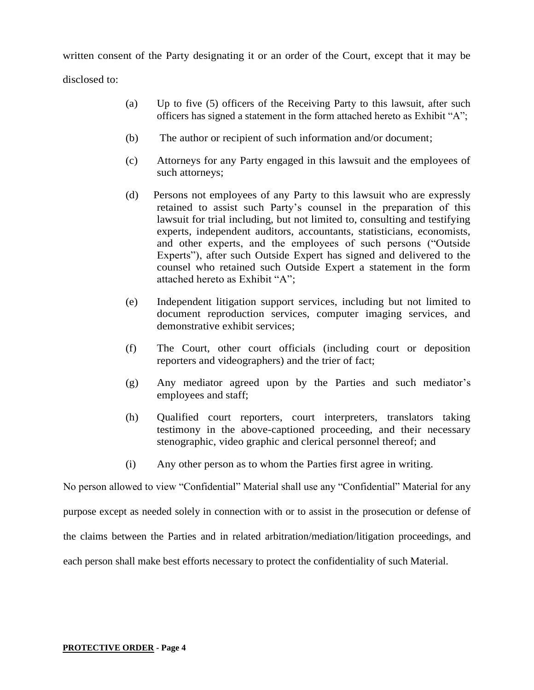written consent of the Party designating it or an order of the Court, except that it may be disclosed to:

- (a) Up to five (5) officers of the Receiving Party to this lawsuit, after such officers has signed a statement in the form attached hereto as Exhibit "A";
- (b) The author or recipient of such information and/or document;
- (c) Attorneys for any Party engaged in this lawsuit and the employees of such attorneys;
- (d) Persons not employees of any Party to this lawsuit who are expressly retained to assist such Party's counsel in the preparation of this lawsuit for trial including, but not limited to, consulting and testifying experts, independent auditors, accountants, statisticians, economists, and other experts, and the employees of such persons ("Outside Experts"), after such Outside Expert has signed and delivered to the counsel who retained such Outside Expert a statement in the form attached hereto as Exhibit "A";
- (e) Independent litigation support services, including but not limited to document reproduction services, computer imaging services, and demonstrative exhibit services;
- (f) The Court, other court officials (including court or deposition reporters and videographers) and the trier of fact;
- (g) Any mediator agreed upon by the Parties and such mediator's employees and staff;
- (h) Qualified court reporters, court interpreters, translators taking testimony in the above-captioned proceeding, and their necessary stenographic, video graphic and clerical personnel thereof; and
- (i) Any other person as to whom the Parties first agree in writing.

No person allowed to view "Confidential" Material shall use any "Confidential" Material for any

purpose except as needed solely in connection with or to assist in the prosecution or defense of

the claims between the Parties and in related arbitration/mediation/litigation proceedings, and

each person shall make best efforts necessary to protect the confidentiality of such Material.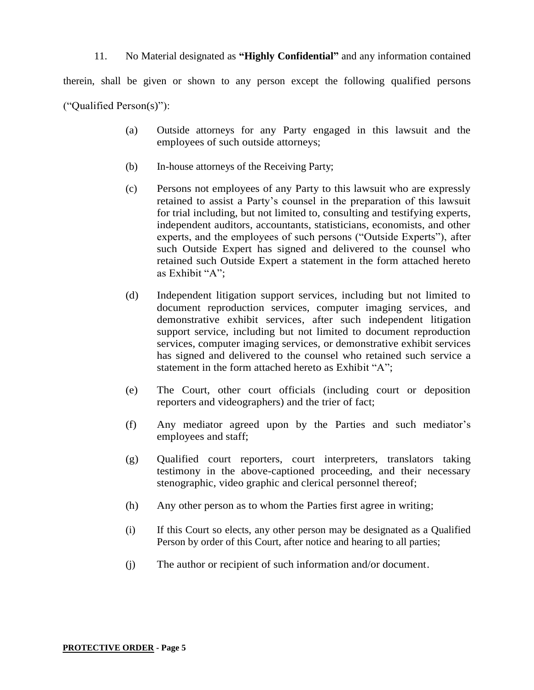# 11. No Material designated as **"Highly Confidential"** and any information contained

therein, shall be given or shown to any person except the following qualified persons

("Qualified Person(s)"):

- (a) Outside attorneys for any Party engaged in this lawsuit and the employees of such outside attorneys;
- (b) In-house attorneys of the Receiving Party;
- (c) Persons not employees of any Party to this lawsuit who are expressly retained to assist a Party's counsel in the preparation of this lawsuit for trial including, but not limited to, consulting and testifying experts, independent auditors, accountants, statisticians, economists, and other experts, and the employees of such persons ("Outside Experts"), after such Outside Expert has signed and delivered to the counsel who retained such Outside Expert a statement in the form attached hereto as Exhibit "A";
- (d) Independent litigation support services, including but not limited to document reproduction services, computer imaging services, and demonstrative exhibit services, after such independent litigation support service, including but not limited to document reproduction services, computer imaging services, or demonstrative exhibit services has signed and delivered to the counsel who retained such service a statement in the form attached hereto as Exhibit "A";
- (e) The Court, other court officials (including court or deposition reporters and videographers) and the trier of fact;
- (f) Any mediator agreed upon by the Parties and such mediator's employees and staff;
- (g) Qualified court reporters, court interpreters, translators taking testimony in the above-captioned proceeding, and their necessary stenographic, video graphic and clerical personnel thereof;
- (h) Any other person as to whom the Parties first agree in writing;
- (i) If this Court so elects, any other person may be designated as a Qualified Person by order of this Court, after notice and hearing to all parties;
- (j) The author or recipient of such information and/or document.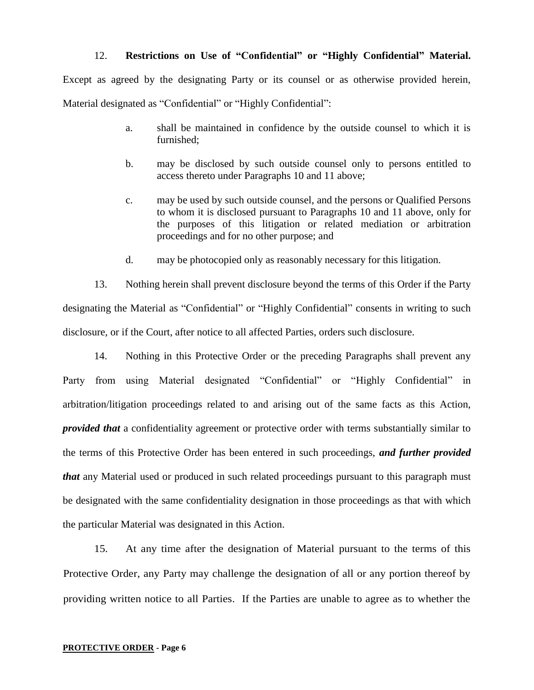#### 12. **Restrictions on Use of "Confidential" or "Highly Confidential" Material.**

Except as agreed by the designating Party or its counsel or as otherwise provided herein, Material designated as "Confidential" or "Highly Confidential":

- a. shall be maintained in confidence by the outside counsel to which it is furnished;
- b. may be disclosed by such outside counsel only to persons entitled to access thereto under Paragraphs 10 and 11 above;
- c. may be used by such outside counsel, and the persons or Qualified Persons to whom it is disclosed pursuant to Paragraphs 10 and 11 above, only for the purposes of this litigation or related mediation or arbitration proceedings and for no other purpose; and
- d. may be photocopied only as reasonably necessary for this litigation.

13. Nothing herein shall prevent disclosure beyond the terms of this Order if the Party designating the Material as "Confidential" or "Highly Confidential" consents in writing to such disclosure, or if the Court, after notice to all affected Parties, orders such disclosure.

14. Nothing in this Protective Order or the preceding Paragraphs shall prevent any Party from using Material designated "Confidential" or "Highly Confidential" in arbitration/litigation proceedings related to and arising out of the same facts as this Action, *provided that* a confidentiality agreement or protective order with terms substantially similar to the terms of this Protective Order has been entered in such proceedings, *and further provided that* any Material used or produced in such related proceedings pursuant to this paragraph must be designated with the same confidentiality designation in those proceedings as that with which the particular Material was designated in this Action.

15. At any time after the designation of Material pursuant to the terms of this Protective Order, any Party may challenge the designation of all or any portion thereof by providing written notice to all Parties. If the Parties are unable to agree as to whether the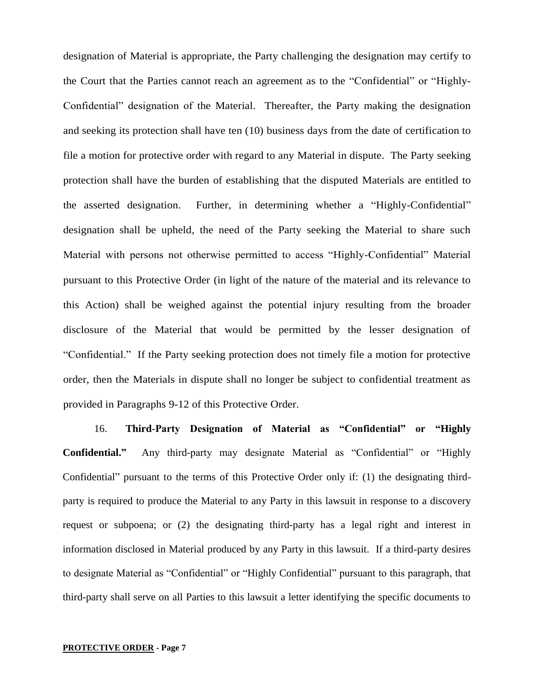designation of Material is appropriate, the Party challenging the designation may certify to the Court that the Parties cannot reach an agreement as to the "Confidential" or "Highly-Confidential" designation of the Material. Thereafter, the Party making the designation and seeking its protection shall have ten (10) business days from the date of certification to file a motion for protective order with regard to any Material in dispute. The Party seeking protection shall have the burden of establishing that the disputed Materials are entitled to the asserted designation. Further, in determining whether a "Highly-Confidential" designation shall be upheld, the need of the Party seeking the Material to share such Material with persons not otherwise permitted to access "Highly-Confidential" Material pursuant to this Protective Order (in light of the nature of the material and its relevance to this Action) shall be weighed against the potential injury resulting from the broader disclosure of the Material that would be permitted by the lesser designation of "Confidential." If the Party seeking protection does not timely file a motion for protective order, then the Materials in dispute shall no longer be subject to confidential treatment as provided in Paragraphs 9-12 of this Protective Order.

16. **Third-Party Designation of Material as "Confidential" or "Highly Confidential."** Any third-party may designate Material as "Confidential" or "Highly Confidential" pursuant to the terms of this Protective Order only if: (1) the designating thirdparty is required to produce the Material to any Party in this lawsuit in response to a discovery request or subpoena; or (2) the designating third-party has a legal right and interest in information disclosed in Material produced by any Party in this lawsuit. If a third-party desires to designate Material as "Confidential" or "Highly Confidential" pursuant to this paragraph, that third-party shall serve on all Parties to this lawsuit a letter identifying the specific documents to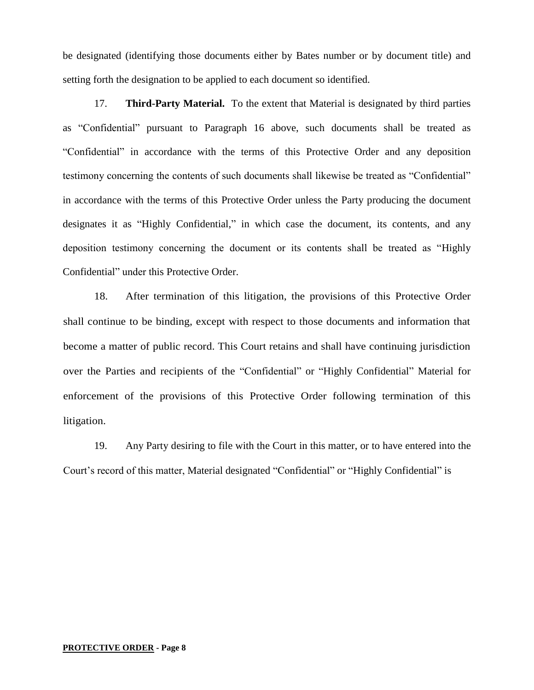be designated (identifying those documents either by Bates number or by document title) and setting forth the designation to be applied to each document so identified.

17. **Third-Party Material.** To the extent that Material is designated by third parties as "Confidential" pursuant to Paragraph 16 above, such documents shall be treated as "Confidential" in accordance with the terms of this Protective Order and any deposition testimony concerning the contents of such documents shall likewise be treated as "Confidential" in accordance with the terms of this Protective Order unless the Party producing the document designates it as "Highly Confidential," in which case the document, its contents, and any deposition testimony concerning the document or its contents shall be treated as "Highly Confidential" under this Protective Order.

18. After termination of this litigation, the provisions of this Protective Order shall continue to be binding, except with respect to those documents and information that become a matter of public record. This Court retains and shall have continuing jurisdiction over the Parties and recipients of the "Confidential" or "Highly Confidential" Material for enforcement of the provisions of this Protective Order following termination of this litigation.

19. Any Party desiring to file with the Court in this matter, or to have entered into the Court's record of this matter, Material designated "Confidential" or "Highly Confidential" is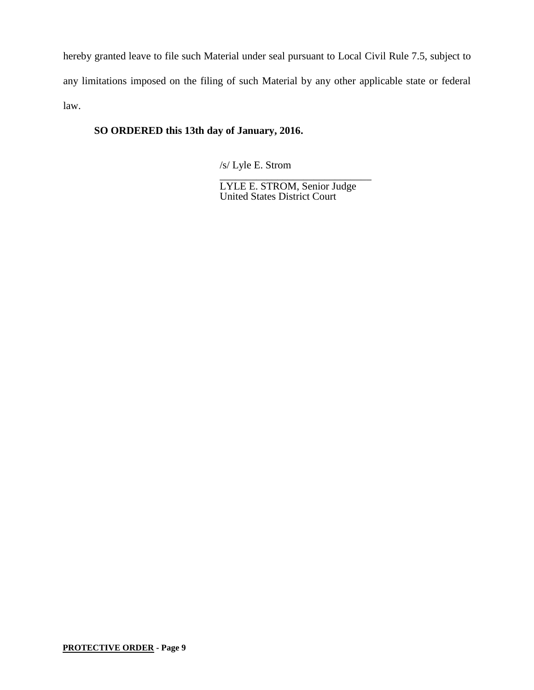hereby granted leave to file such Material under seal pursuant to Local Civil Rule 7.5, subject to any limitations imposed on the filing of such Material by any other applicable state or federal law.

# **SO ORDERED this 13th day of January, 2016.**

/s/ Lyle E. Strom

\_\_\_\_\_\_\_\_\_\_\_\_\_\_\_\_\_\_\_\_\_\_\_\_\_\_\_\_\_ LYLE E. STROM, Senior Judge United States District Court